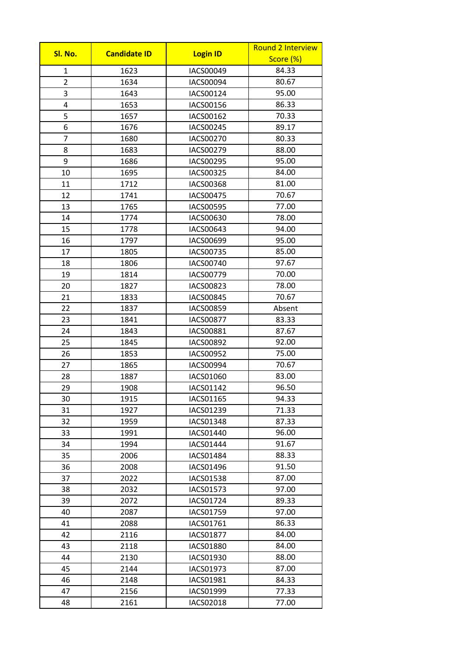| Sl. No.        | <b>Candidate ID</b> | <b>Login ID</b>  | <b>Round 2 Interview</b> |  |
|----------------|---------------------|------------------|--------------------------|--|
|                |                     |                  | Score (%)                |  |
| $\mathbf 1$    | 1623                | IACS00049        | 84.33                    |  |
| $\overline{2}$ | 1634                | IACS00094        | 80.67                    |  |
| 3              | 1643                | IACS00124        | 95.00                    |  |
| 4              | 1653                | IACS00156        | 86.33                    |  |
| 5              | 1657                | IACS00162        | 70.33                    |  |
| 6              | 1676                | IACS00245        | 89.17                    |  |
| $\overline{7}$ | 1680                | IACS00270        | 80.33                    |  |
| 8              | 1683                | IACS00279        | 88.00                    |  |
| 9              | 1686                | IACS00295        | 95.00                    |  |
| 10             | 1695                | IACS00325        | 84.00                    |  |
| 11             | 1712                | <b>IACS00368</b> | 81.00                    |  |
| 12             | 1741                | <b>IACS00475</b> | 70.67                    |  |
| 13             | 1765                | <b>IACS00595</b> | 77.00                    |  |
| 14             | 1774                | IACS00630        | 78.00                    |  |
| 15             | 1778                | IACS00643        | 94.00                    |  |
| 16             | 1797                | IACS00699        | 95.00                    |  |
| 17             | 1805                | IACS00735        | 85.00                    |  |
| 18             | 1806                | <b>IACS00740</b> | 97.67                    |  |
| 19             | 1814                | IACS00779        | 70.00                    |  |
| 20             | 1827                | IACS00823        | 78.00                    |  |
| 21             | 1833                | <b>IACS00845</b> | 70.67                    |  |
| 22             | 1837                | <b>IACS00859</b> | Absent                   |  |
| 23             | 1841                | IACS00877        | 83.33                    |  |
| 24             | 1843                | IACS00881        | 87.67                    |  |
| 25             | 1845                | <b>IACS00892</b> | 92.00                    |  |
| 26             | 1853                | IACS00952        | 75.00                    |  |
| 27             | 1865                | IACS00994        | 70.67                    |  |
| 28             | 1887                | IACS01060        | 83.00                    |  |
| 29             | 1908                | IACS01142        | 96.50                    |  |
| 30             | 1915                | IACS01165        | 94.33                    |  |
| 31             | 1927                | IACS01239        | 71.33                    |  |
| 32             | 1959                | <b>IACS01348</b> | 87.33                    |  |
| 33             | 1991                | IACS01440        | 96.00                    |  |
| 34             | 1994                | IACS01444        | 91.67                    |  |
| 35             | 2006                | IACS01484        | 88.33                    |  |
| 36             | 2008                | IACS01496        | 91.50                    |  |
| 37             | 2022                | <b>IACS01538</b> | 87.00                    |  |
| 38             | 2032                | IACS01573        | 97.00                    |  |
| 39             | 2072                | IACS01724        | 89.33                    |  |
| 40             | 2087                | IACS01759        | 97.00                    |  |
| 41             | 2088                | IACS01761        | 86.33                    |  |
| 42             | 2116                | <b>IACS01877</b> | 84.00                    |  |
| 43             | 2118                | <b>IACS01880</b> | 84.00                    |  |
| 44             | 2130                | IACS01930        | 88.00                    |  |
| 45             | 2144                | IACS01973        | 87.00                    |  |
| 46             | 2148                | IACS01981        | 84.33                    |  |
| 47             | 2156                | IACS01999        | 77.33                    |  |
| 48             | 2161                | IACS02018        | 77.00                    |  |
|                |                     |                  |                          |  |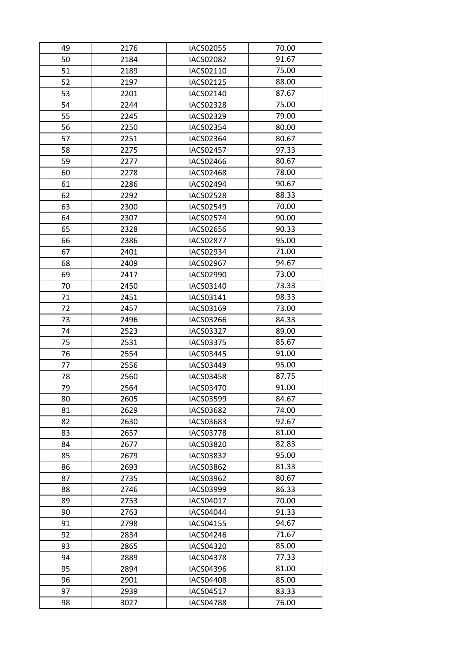| 49 | 2176 | IACS02055        | 70.00 |
|----|------|------------------|-------|
| 50 | 2184 | <b>IACS02082</b> | 91.67 |
| 51 | 2189 | IACS02110        | 75.00 |
| 52 | 2197 | IACS02125        | 88.00 |
| 53 | 2201 | IACS02140        | 87.67 |
| 54 | 2244 | <b>IACS02328</b> | 75.00 |
| 55 | 2245 | IACS02329        | 79.00 |
| 56 | 2250 | IACS02354        | 80.00 |
| 57 | 2251 | IACS02364        | 80.67 |
| 58 | 2275 | <b>IACS02457</b> | 97.33 |
| 59 | 2277 | IACS02466        | 80.67 |
| 60 | 2278 | <b>IACS02468</b> | 78.00 |
| 61 | 2286 | IACS02494        | 90.67 |
| 62 | 2292 | <b>IACS02528</b> | 88.33 |
| 63 | 2300 | IACS02549        | 70.00 |
| 64 | 2307 | IACS02574        | 90.00 |
| 65 | 2328 | IACS02656        | 90.33 |
| 66 | 2386 | <b>IACS02877</b> | 95.00 |
| 67 | 2401 | IACS02934        | 71.00 |
| 68 | 2409 | IACS02967        | 94.67 |
| 69 | 2417 | IACS02990        | 73.00 |
| 70 | 2450 | IACS03140        | 73.33 |
| 71 | 2451 | IACS03141        | 98.33 |
| 72 | 2457 | IACS03169        | 73.00 |
| 73 | 2496 | IACS03266        | 84.33 |
| 74 | 2523 | IACS03327        | 89.00 |
| 75 | 2531 | IACS03375        | 85.67 |
| 76 | 2554 | IACS03445        | 91.00 |
| 77 | 2556 | IACS03449        | 95.00 |
| 78 | 2560 | <b>IACS03458</b> | 87.75 |
| 79 | 2564 | IACS03470        | 91.00 |
| 80 | 2605 | IACS03599        | 84.67 |
| 81 | 2629 | IACS03682        | 74.00 |
| 82 | 2630 | IACS03683        | 92.67 |
| 83 | 2657 | <b>IACS03778</b> | 81.00 |
| 84 | 2677 | <b>IACS03820</b> | 82.83 |
| 85 | 2679 | IACS03832        | 95.00 |
| 86 | 2693 | IACS03862        | 81.33 |
| 87 | 2735 | IACS03962        | 80.67 |
| 88 | 2746 | IACS03999        | 86.33 |
| 89 | 2753 | IACS04017        | 70.00 |
| 90 | 2763 | IACS04044        | 91.33 |
| 91 | 2798 | IACS04155        | 94.67 |
| 92 | 2834 | IACS04246        | 71.67 |
| 93 | 2865 | IACS04320        | 85.00 |
| 94 | 2889 | <b>IACS04378</b> | 77.33 |
| 95 | 2894 | IACS04396        | 81.00 |
| 96 | 2901 | <b>IACS04408</b> | 85.00 |
| 97 | 2939 | IACS04517        | 83.33 |
|    |      |                  |       |